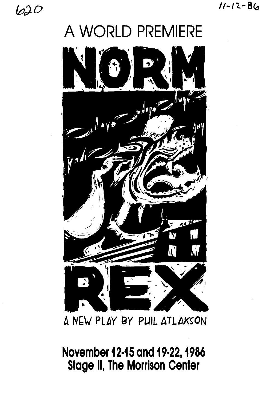620

# A WORLD PREMIERE



A NEW PLAY BY PUIL ATLAKSON

November 12-15 and 19-22, 1986 **Stage II, The Morrison Center**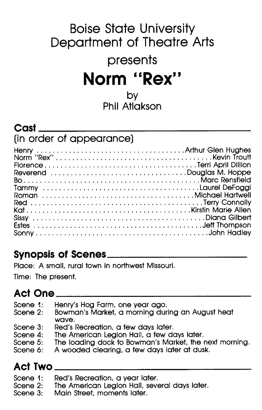# **Boise State University Department of Theatre Arts presents Norm ''Rex''**  by

**Phil Atlakson** 

**\_\_\_\_\_\_\_\_\_\_\_\_\_\_\_\_\_\_\_\_\_\_\_\_\_\_\_\_\_\_\_\_ \_\_** 

### **Cast**

### (in **order of appearance)**

| Reverend Douglas M. Hoppe |  |
|---------------------------|--|
|                           |  |
|                           |  |
|                           |  |
|                           |  |
|                           |  |
|                           |  |
|                           |  |
|                           |  |

## **Synopsis of Scenes \_\_\_\_\_\_\_\_\_\_\_\_\_\_\_\_\_\_\_\_ \_**

Place: A small, rural town in northwest Missouri.

Time: The present.

#### **Act One \_\_\_\_\_\_\_\_\_\_\_\_\_\_\_\_\_\_\_\_\_\_\_\_\_\_\_\_\_\_ \_**

- Scene 1: Henry's Hog Farm, one year ago.
- Scene 2: Bowman's Market, a morning during an August heat wave.
- Scene 3: Red's Recreation, a few days later.
- Scene 4: The American Legion Hall, a few days later.
- Scene 5: The loading dock to Bowman's Market, the next morning.
- Scene 6: A wooded clearing, a few days later at dusk.

#### **Act Two \_\_\_\_\_\_\_\_\_\_\_\_\_\_\_\_\_\_\_\_\_\_\_\_\_\_\_\_\_\_ \_\_**

- Scene 1: Red's Recreation, a year later.
- Scene 2: The American Legion Hall, several days later.
- Scene 3: Main Street, moments later.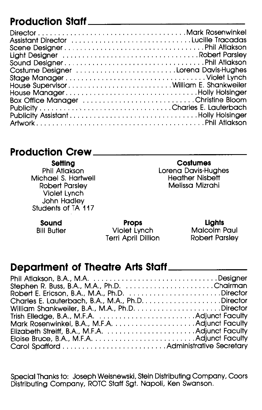## **Production Staff**

| Assistant Director Lucille Tracadas    |
|----------------------------------------|
|                                        |
|                                        |
|                                        |
|                                        |
|                                        |
| House SupervisorWilliam E. Shankweiler |
| House ManagerHolly Holsinger           |
| Box Office Manager Christine Bloom     |
|                                        |
|                                        |
|                                        |

**\_\_\_\_\_\_\_\_\_\_\_ \_** 

### **Production Crew**

**Setting**  Phil Atlakson Michael S. Hartwell Robert Parsley Violet Lynch John Hadley Students of TA 117

#### **Costumes**

**\_\_\_\_\_\_\_\_\_\_\_\_ \_** 

Lorena Davis-Hughes Heather Nisbett Melissa Mizrahi

**Sound** 

Bill Butler

**Props**  Violet Lynch Terri April Dillion

#### **Lights**  Malcolm Paul

Robert Parsley

### **Department of Theatre Arts Staff \_\_\_\_\_ \_**

| Stephen R. Buss, B.A., M.A., Ph.D. Chairman     |  |
|-------------------------------------------------|--|
| Robert E. Ericson, B.A., M.A., Ph.D. Director   |  |
|                                                 |  |
|                                                 |  |
|                                                 |  |
| Mark Rosenwinkel, B.A., M.F.A.  Adjunct Faculty |  |
|                                                 |  |
|                                                 |  |
|                                                 |  |

Special Thanks to: Joseph Weisnewski, Stein Distributing Company, Coors Distributing Company, ROTC Staff Sgt. Napoli, Ken Swanson.